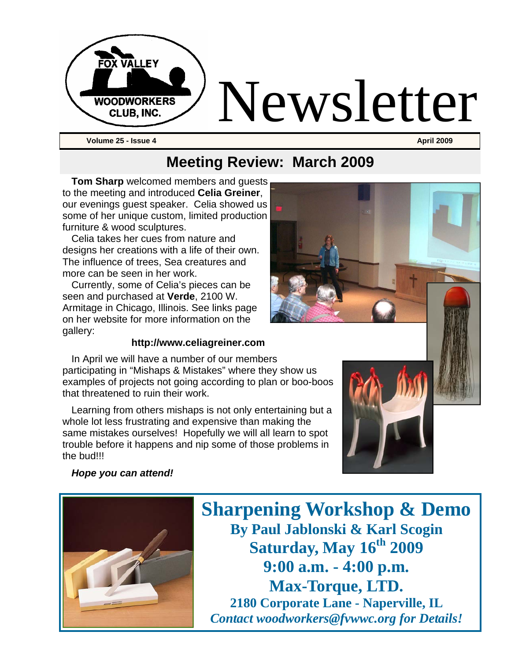

**Meeting Review: March 2009** 

**Tom Sharp** welcomed members and guests to the meeting and introduced **Celia Greiner**, our evenings guest speaker. Celia showed us some of her unique custom, limited production furniture & wood sculptures.

Celia takes her cues from nature and designs her creations with a life of their own. The influence of trees, Sea creatures and more can be seen in her work.

Currently, some of Celia's pieces can be seen and purchased at **Verde**, 2100 W. Armitage in Chicago, Illinois. See links page on her website for more information on the gallery:

#### **http://www.celiagreiner.com**

In April we will have a number of our members participating in "Mishaps & Mistakes" where they show us examples of projects not going according to plan or boo-boos that threatened to ruin their work.

Learning from others mishaps is not only entertaining but a whole lot less frustrating and expensive than making the same mistakes ourselves! Hopefully we will all learn to spot trouble before it happens and nip some of those problems in the bud!!!



*Hope you can attend!* 



**Sharpening Workshop & Demo By Paul Jablonski & Karl Scogin Saturday, May 16th 2009 9:00 a.m. - 4:00 p.m. Max-Torque, LTD. 2180 Corporate Lane - Naperville, IL**  *Contact woodworkers@fvwwc.org for Details!*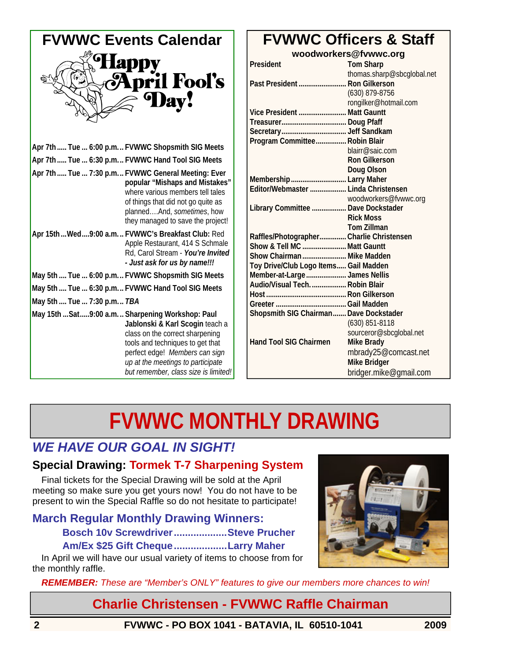| <b>FVWWC Events Calendar</b>                                                                                                                                                                                                                                                 |  |  |
|------------------------------------------------------------------------------------------------------------------------------------------------------------------------------------------------------------------------------------------------------------------------------|--|--|
| <b>ril Fool's</b><br>av!                                                                                                                                                                                                                                                     |  |  |
| Apr 7th  Tue  6:00 p.m FVWWC Shopsmith SIG Meets                                                                                                                                                                                                                             |  |  |
| Apr 7th  Tue  6:30 p.m.  FVWWC Hand Tool SIG Meets                                                                                                                                                                                                                           |  |  |
| Apr 7th  Tue  7:30 p.m.  FVWWC General Meeting: Ever<br>popular "Mishaps and Mistakes"<br>where various members tell tales<br>of things that did not go quite as<br>plannedAnd, sometimes, how<br>they managed to save the project!                                          |  |  |
| Apr 15thWed9:00 a.m FVWWC's Breakfast Club: Red<br>Apple Restaurant, 414 S Schmale<br>Rd, Carol Stream - You're Invited<br>- Just ask for us by name!!!                                                                                                                      |  |  |
| May 5th  Tue  6:00 p.m FVWWC Shopsmith SIG Meets                                                                                                                                                                                                                             |  |  |
| May 5th  Tue  6:30 p.m.  FVWWC Hand Tool SIG Meets                                                                                                                                                                                                                           |  |  |
| May 5th  Tue  7:30 p.m TBA                                                                                                                                                                                                                                                   |  |  |
| May 15th  Sat  9:00 a.m.  Sharpening Workshop: Paul<br>Jablonski & Karl Scogin teach a<br>class on the correct sharpening<br>tools and techniques to get that<br>perfect edge! Members can sign<br>up at the meetings to participate<br>but remember, class size is limited! |  |  |

## **FVWWC Officers & Staff**

| woodworkers@fvwwc.org                    |                            |  |
|------------------------------------------|----------------------------|--|
| President                                | <b>Tom Sharp</b>           |  |
|                                          | thomas.sharp@sbcglobal.net |  |
| Past President  Ron Gilkerson            |                            |  |
|                                          | (630) 879-8756             |  |
|                                          | rongilker@hotmail.com      |  |
| Vice President  Matt Gauntt              |                            |  |
|                                          |                            |  |
|                                          |                            |  |
| Program Committee Robin Blair            |                            |  |
|                                          | blairr@saic.com            |  |
|                                          | <b>Ron Gilkerson</b>       |  |
|                                          | Doug Olson                 |  |
| Membership  Larry Maher                  |                            |  |
| Editor/Webmaster  Linda Christensen      |                            |  |
|                                          | woodworkers@fvwwc.org      |  |
| Library Committee  Dave Dockstader       |                            |  |
|                                          | <b>Rick Moss</b>           |  |
|                                          | <b>Tom Zillman</b>         |  |
| Raffles/Photographer Charlie Christensen |                            |  |
| Show & Tell MC  Matt Gauntt              |                            |  |
| Show Chairman  Mike Madden               |                            |  |
| Toy Drive/Club Logo Items Gail Madden    |                            |  |
| Member-at-Large  James Nellis            |                            |  |
| Audio/Visual Tech.  Robin Blair          |                            |  |
|                                          |                            |  |
|                                          |                            |  |
| Shopsmith SIG Chairman Dave Dockstader   |                            |  |
|                                          | (630) 851-8118             |  |
|                                          | sourceror@sbcglobal.net    |  |
| <b>Hand Tool SIG Chairmen</b>            | <b>Mike Brady</b>          |  |
|                                          | mbrady25@comcast.net       |  |
|                                          | <b>Mike Bridger</b>        |  |
|                                          | bridger.mike@gmail.com     |  |

# **FVWWC MONTHLY DRAWING**

## *WE HAVE OUR GOAL IN SIGHT!*

## **Special Drawing: Tormek T-7 Sharpening System**

Final tickets for the Special Drawing will be sold at the April meeting so make sure you get yours now! You do not have to be present to win the Special Raffle so do not hesitate to participate!

## **March Regular Monthly Drawing Winners:**

**Bosch 10v Screwdriver...................Steve Prucher Am/Ex \$25 Gift Cheque...................Larry Maher** 

In April we will have our usual variety of items to choose from for the monthly raffle.

*REMEMBER: These are "Member's ONLY" features to give our members more chances to win!* 

# **Charlie Christensen - FVWWC Raffle Chairman**

**2 FVWWC - PO BOX 1041 - BATAVIA, IL 60510-1041 2009**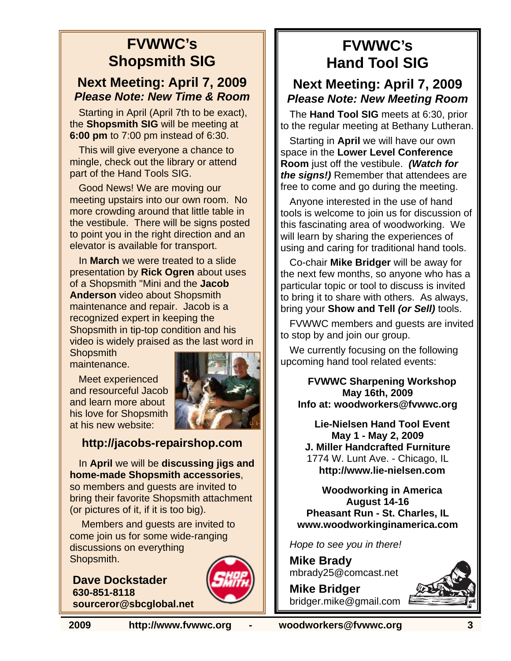## **FVWWC's Shopsmith SIG**

#### **Next Meeting: April 7, 2009**  *Please Note: New Time & Room*

Starting in April (April 7th to be exact), the **Shopsmith SIG** will be meeting at **6:00 pm** to 7:00 pm instead of 6:30.

This will give everyone a chance to mingle, check out the library or attend part of the Hand Tools SIG.

Good News! We are moving our meeting upstairs into our own room. No more crowding around that little table in the vestibule. There will be signs posted to point you in the right direction and an elevator is available for transport.

In **March** we were treated to a slide presentation by **Rick Ogren** about uses of a Shopsmith "Mini and the **Jacob Anderson** video about Shopsmith maintenance and repair. Jacob is a recognized expert in keeping the Shopsmith in tip-top condition and his video is widely praised as the last word in **Shopsmith** 

maintenance.

Meet experienced and resourceful Jacob and learn more about his love for Shopsmith at his new website:



#### **http://jacobs-repairshop.com**

In **April** we will be **discussing jigs and home-made Shopsmith accessories**, so members and guests are invited to bring their favorite Shopsmith attachment

(or pictures of it, if it is too big).

 Members and guests are invited to come join us for some wide-ranging discussions on everything Shopsmith.

**Dave Dockstader 630-851-8118 sourceror@sbcglobal.net**



## **FVWWC's Hand Tool SIG**

#### **Next Meeting: April 7, 2009**  *Please Note: New Meeting Room*

The **Hand Tool SIG** meets at 6:30, prior to the regular meeting at Bethany Lutheran.

Starting in **April** we will have our own space in the **Lower Level Conference Room** just off the vestibule. *(Watch for the signs!)* Remember that attendees are free to come and go during the meeting.

Anyone interested in the use of hand tools is welcome to join us for discussion of this fascinating area of woodworking. We will learn by sharing the experiences of using and caring for traditional hand tools.

Co-chair **Mike Bridger** will be away for the next few months, so anyone who has a particular topic or tool to discuss is invited to bring it to share with others. As always, bring your **Show and Tell** *(or Sell)* tools.

FVWWC members and guests are invited to stop by and join our group.

We currently focusing on the following upcoming hand tool related events:

**FVWWC Sharpening Workshop May 16th, 2009 Info at: woodworkers@fvwwc.org** 

**Lie-Nielsen Hand Tool Event May 1 - May 2, 2009 J. Miller Handcrafted Furniture**  1774 W. Lunt Ave. - Chicago, IL **http://www.lie-nielsen.com** 

**Woodworking in America August 14-16 Pheasant Run - St. Charles, IL www.woodworkinginamerica.com**

*Hope to see you in there!* 

**Mike Brady**  mbrady25@comcast.net

**Mike Bridger**  bridger.mike@gmail.com

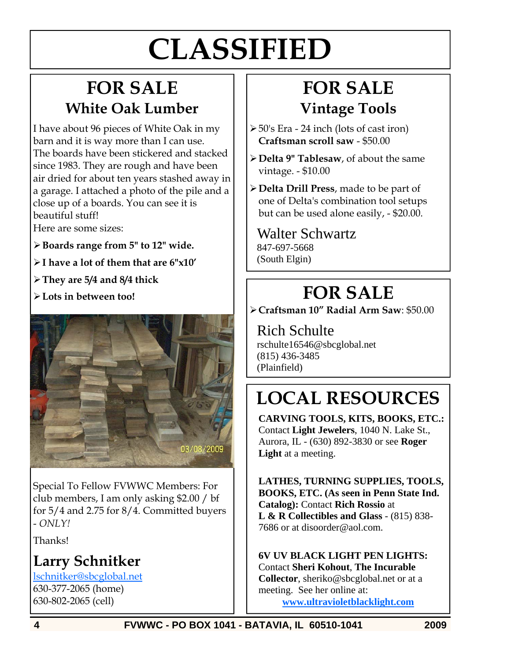# **CLASSIFIED**

# **FOR SALE White Oak Lumber**

I have about 96 pieces of White Oak in my barn and it is way more than I can use. The boards have been stickered and stacked since 1983. They are rough and have been air dried for about ten years stashed away in a garage. I attached a photo of the pile and a close up of a boards. You can see it is beautiful stuff!

Here are some sizes:

¾ **Boards range from 5" to 12" wide.** 

¾ **I have a lot of them that are 6"x10'** 

¾ **They are 5/4 and 8/4 thick** 

¾ **Lots in between too!** 



Special To Fellow FVWWC Members: For club members, I am only asking \$2.00 / bf for 5/4 and 2.75 for 8/4. Committed buyers - *ONLY!* 

Thanks!

**Larry Schnitker** 

lschnitker@sbcglobal.net 630-377-2065 (home) 630-802-2065 (cell)

# **FOR SALE Vintage Tools**

- ¾ 50's Era 24 inch (lots of cast iron) **Craftsman scroll saw** - \$50.00
- ¾ **Delta 9" Tablesaw**, of about the same vintage. - \$10.00
- ¾ **Delta Drill Press**, made to be part of one of Delta's combination tool setups but can be used alone easily, - \$20.00.

Walter Schwartz 847-697-5668 (South Elgin)

# **FOR SALE**

¾ **Craftsman 10" Radial Arm Saw**: \$50.00

Rich Schulte rschulte16546@sbcglobal.net (815) 436-3485 (Plainfield)

# **LOCAL RESOURCES**

**CARVING TOOLS, KITS, BOOKS, ETC.:**  Contact **Light Jewelers**, 1040 N. Lake St., Aurora, IL - (630) 892-3830 or see **Roger Light** at a meeting.

**LATHES, TURNING SUPPLIES, TOOLS, BOOKS, ETC. (As seen in Penn State Ind. Catalog):** Contact **Rich Rossio** at **L & R Collectibles and Glass** - (815) 838- 7686 or at disoorder@aol.com.

**6V UV BLACK LIGHT PEN LIGHTS:**  Contact **Sheri Kohout**, **The Incurable Collector**, sheriko@sbcglobal.net or at a meeting. See her online at: **www.ultravioletblacklight.com**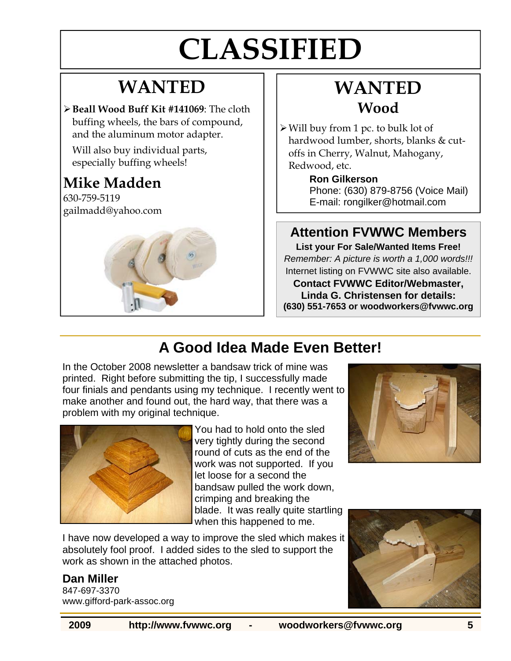# **CLASSIFIED**

# **WANTED**

¾ **Beall Wood Buff Kit #141069**: The cloth buffing wheels, the bars of compound, and the aluminum motor adapter.

Will also buy individual parts, especially buffing wheels!

## **Mike Madden**

630-759-5119 gailmadd@yahoo.com



# **WANTED Wood**

 $\triangleright$  Will buy from 1 pc. to bulk lot of hardwood lumber, shorts, blanks & cutoffs in Cherry, Walnut, Mahogany, Redwood, etc.

> **Ron Gilkerson** Phone: (630) 879-8756 (Voice Mail) E-mail: rongilker@hotmail.com

## **Attention FVWWC Members**

**List your For Sale/Wanted Items Free!**  *Remember: A picture is worth a 1,000 words!!!*  Internet listing on FVWWC site also available.

**Contact FVWWC Editor/Webmaster, Linda G. Christensen for details: (630) 551-7653 or woodworkers@fvwwc.org** 

## **A Good Idea Made Even Better!**

In the October 2008 newsletter a bandsaw trick of mine was printed. Right before submitting the tip, I successfully made four finials and pendants using my technique. I recently went to make another and found out, the hard way, that there was a problem with my original technique.



You had to hold onto the sled very tightly during the second round of cuts as the end of the work was not supported. If you let loose for a second the bandsaw pulled the work down, crimping and breaking the blade. It was really quite startling when this happened to me.

I have now developed a way to improve the sled which makes it absolutely fool proof. I added sides to the sled to support the work as shown in the attached photos.

#### **Dan Miller**

847-697-3370 www.gifford-park-assoc.org



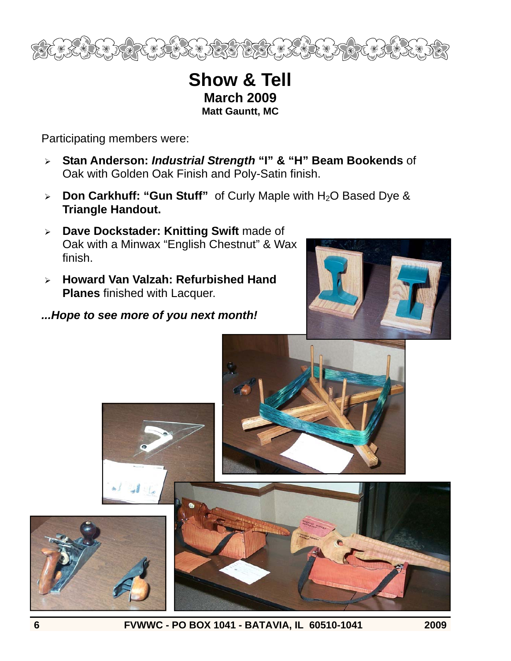

### **Show & Tell March 2009 Matt Gauntt, MC**

Participating members were:

- ¾ **Stan Anderson:** *Industrial Strength* **"I" & "H" Beam Bookends** of Oak with Golden Oak Finish and Poly-Satin finish.
- <sup>¾</sup>**Don Carkhuff: "Gun Stuff"** of Curly Maple with H2O Based Dye & **Triangle Handout.**
- ¾ **Dave Dockstader: Knitting Swift** made of Oak with a Minwax "English Chestnut" & Wax finish.
- ¾ **Howard Van Valzah: Refurbished Hand Planes** finished with Lacquer.

#### *...Hope to see more of you next month!*





**6 FVWWC - PO BOX 1041 - BATAVIA, IL 60510-1041 2009**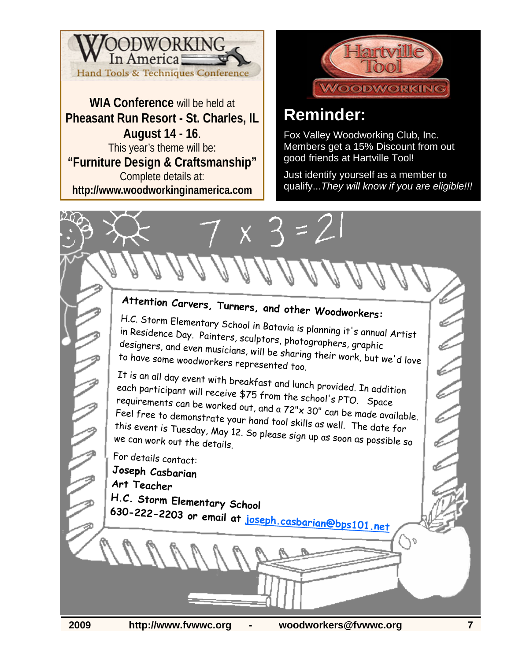

**WIA Conference** will be held at **Pheasant Run Resort - St. Charles, IL August 14 - 16**. This year's theme will be: **"Furniture Design & Craftsmanship"** Complete details at: **http://www.woodworkinginamerica.com**



## **Reminder:**

Fox Valley Woodworking Club, Inc. Members get a 15% Discount from out good friends at Hartville Tool!

Just identify yourself as a member to qualify...*They will know if you are eligible!!!*